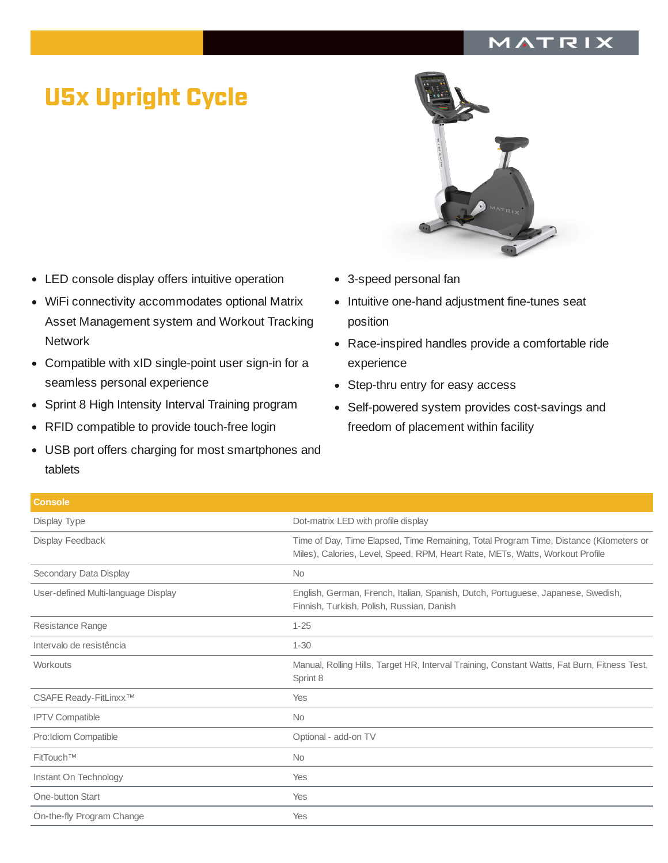## MATRIX

## U5x Upright Cycle

- LED console display offers intuitive operation
- WiFi connectivity accommodates optional Matrix Asset Management system and Workout Tracking **Network**
- Compatible with xID single-point user sign-in for a seamless personal experience
- Sprint 8 High Intensity Interval Training program  $\bullet$
- RFID compatible to provide touch-free login  $\bullet$
- USB port offers charging for most smartphones and tablets
- 
- 3-speed personal fan
- Intuitive one-hand adjustment fine-tunes seat position
- Race-inspired handles provide a comfortable ride experience
- Step-thru entry for easy access
- Self-powered system provides cost-savings and freedom of placement within facility

| <b>Console</b>                      |                                                                                                                                                                         |
|-------------------------------------|-------------------------------------------------------------------------------------------------------------------------------------------------------------------------|
| Display Type                        | Dot-matrix LED with profile display                                                                                                                                     |
| Display Feedback                    | Time of Day, Time Elapsed, Time Remaining, Total Program Time, Distance (Kilometers or<br>Miles), Calories, Level, Speed, RPM, Heart Rate, METs, Watts, Workout Profile |
| Secondary Data Display              | <b>No</b>                                                                                                                                                               |
| User-defined Multi-language Display | English, German, French, Italian, Spanish, Dutch, Portuguese, Japanese, Swedish,<br>Finnish, Turkish, Polish, Russian, Danish                                           |
| Resistance Range                    | $1 - 25$                                                                                                                                                                |
| Intervalo de resistência            | $1 - 30$                                                                                                                                                                |
| Workouts                            | Manual, Rolling Hills, Target HR, Interval Training, Constant Watts, Fat Burn, Fitness Test,<br>Sprint 8                                                                |
| CSAFE Ready-FitLinxx™               | Yes                                                                                                                                                                     |
| <b>IPTV Compatible</b>              | <b>No</b>                                                                                                                                                               |
| Pro: Idiom Compatible               | Optional - add-on TV                                                                                                                                                    |
| FitTouch™                           | <b>No</b>                                                                                                                                                               |
| Instant On Technology               | Yes                                                                                                                                                                     |
| One-button Start                    | Yes                                                                                                                                                                     |
| On-the-fly Program Change           | Yes                                                                                                                                                                     |